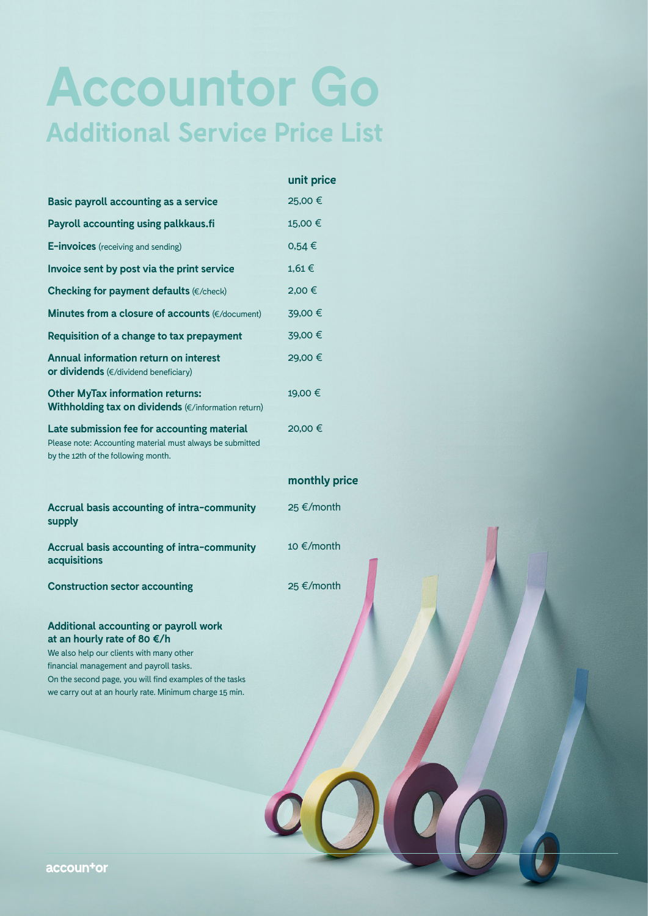# **Accountor Go Additional Service Price List**

|                                                                                                                                                                                                                                                                                         | unit price    |
|-----------------------------------------------------------------------------------------------------------------------------------------------------------------------------------------------------------------------------------------------------------------------------------------|---------------|
| <b>Basic payroll accounting as a service</b>                                                                                                                                                                                                                                            | 25,00 €       |
| Payroll accounting using palkkaus.fi                                                                                                                                                                                                                                                    | 15,00 €       |
| E-invoices (receiving and sending)                                                                                                                                                                                                                                                      | $0,54 \in$    |
| Invoice sent by post via the print service                                                                                                                                                                                                                                              | $1,61 \in$    |
| Checking for payment defaults (€/check)                                                                                                                                                                                                                                                 | 2,00 €        |
| Minutes from a closure of accounts (€/document)                                                                                                                                                                                                                                         | 39,00 €       |
| <b>Requisition of a change to tax prepayment</b>                                                                                                                                                                                                                                        | 39,00 €       |
| Annual information return on interest<br>or dividends (€/dividend beneficiary)                                                                                                                                                                                                          | 29,00 €       |
| <b>Other MyTax information returns:</b><br>Withholding tax on dividends (€/information return)                                                                                                                                                                                          | 19,00 €       |
| Late submission fee for accounting material<br>Please note: Accounting material must always be submitted<br>by the 12th of the following month.                                                                                                                                         | 20,00 €       |
|                                                                                                                                                                                                                                                                                         | monthly price |
| Accrual basis accounting of intra-community<br>supply                                                                                                                                                                                                                                   | 25 €/month    |
| <b>Accrual basis accounting of intra-community</b><br>acquisitions                                                                                                                                                                                                                      | 10 €/month    |
| <b>Construction sector accounting</b>                                                                                                                                                                                                                                                   | 25 €/month    |
| <b>Additional accounting or payroll work</b><br>at an hourly rate of 80 €/h<br>We also help our clients with many other<br>financial management and payroll tasks.<br>On the second page, you will find examples of the tasks<br>we carry out at an hourly rate. Minimum charge 15 min. |               |
|                                                                                                                                                                                                                                                                                         |               |

accountor